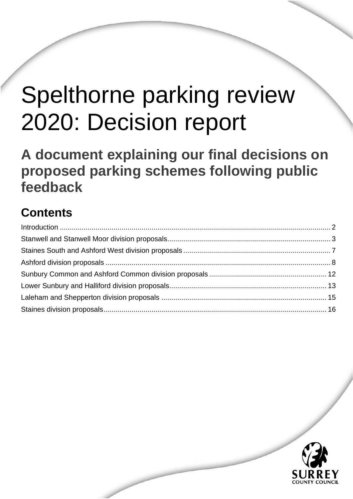# Spelthorne parking review 2020: Decision report

**A document explaining our final decisions on proposed parking schemes following public feedback**

Spelthorne parking review 2020: Decision report June 2021

# **Contents**

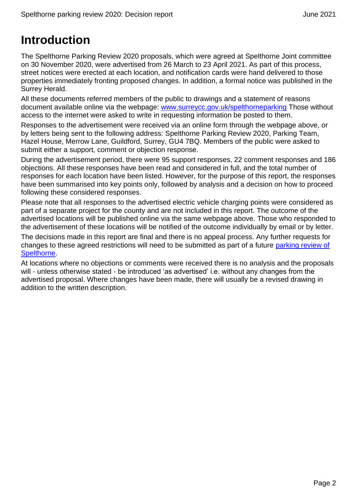# <span id="page-1-0"></span>**Introduction**

The Spelthorne Parking Review 2020 proposals, which were agreed at Spelthorne Joint committee on 30 November 2020, were advertised from 26 March to 23 April 2021. As part of this process, street notices were erected at each location, and notification cards were hand delivered to those properties immediately fronting proposed changes. In addition, a formal notice was published in the Surrey Herald.

All these documents referred members of the public to drawings and a statement of reasons document available online via the webpage: [www.surreycc.gov.uk/spelthorneparking](http://www.surreycc.gov.uk/spelthorneparking) Those without access to the internet were asked to write in requesting information be posted to them.

Responses to the advertisement were received via an online form through the webpage above, or by letters being sent to the following address: Spelthorne Parking Review 2020, Parking Team, Hazel House, Merrow Lane, Guildford, Surrey, GU4 7BQ. Members of the public were asked to submit either a support, comment or objection response.

During the advertisement period, there were 95 support responses, 22 comment responses and 186 objections. All these responses have been read and considered in full, and the total number of responses for each location have been listed. However, for the purpose of this report, the responses have been summarised into key points only, followed by analysis and a decision on how to proceed following these considered responses.

Please note that all responses to the advertised electric vehicle charging points were considered as part of a separate project for the county and are not included in this report. The outcome of the advertised locations will be published online via the same webpage above. Those who responded to the advertisement of these locations will be notified of the outcome individually by email or by letter.

The decisions made in this report are final and there is no appeal process. Any further requests for changes to these agreed restrictions will need to be submitted as part of a future [parking review of](https://www.surreycc.gov.uk/roads-and-transport/parking/reviews)  [Spelthorne.](https://www.surreycc.gov.uk/roads-and-transport/parking/reviews)

At locations where no objections or comments were received there is no analysis and the proposals will - unless otherwise stated - be introduced 'as advertised' i.e. without any changes from the advertised proposal. Where changes have been made, there will usually be a revised drawing in addition to the written description.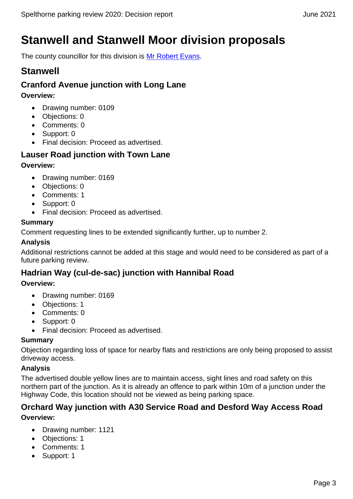# <span id="page-2-0"></span>**Stanwell and Stanwell Moor division proposals**

The county councillor for this division is [Mr Robert Evans.](https://mycouncil.surreycc.gov.uk/mgUserInfo.aspx?UID=948)

# **Stanwell**

# **Cranford Avenue junction with Long Lane**

**Overview:**

- Drawing number: 0109
- Objections: 0
- Comments: 0
- Support: 0
- Final decision: Proceed as advertised.

# **Lauser Road junction with Town Lane**

#### **Overview:**

- Drawing number: 0169
- Objections: 0
- Comments: 1
- Support: 0
- Final decision: Proceed as advertised.

#### **Summary**

Comment requesting lines to be extended significantly further, up to number 2.

#### **Analysis**

Additional restrictions cannot be added at this stage and would need to be considered as part of a future parking review.

# **Hadrian Way (cul-de-sac) junction with Hannibal Road**

#### **Overview:**

- Drawing number: 0169
- Objections: 1
- Comments: 0
- Support: 0
- Final decision: Proceed as advertised.

#### **Summary**

Objection regarding loss of space for nearby flats and restrictions are only being proposed to assist driveway access.

#### **Analysis**

The advertised double yellow lines are to maintain access, sight lines and road safety on this northern part of the junction. As it is already an offence to park within 10m of a junction under the Highway Code, this location should not be viewed as being parking space.

### **Orchard Way junction with A30 Service Road and Desford Way Access Road Overview:**

- Drawing number: 1121
- Objections: 1
- Comments: 1
- Support: 1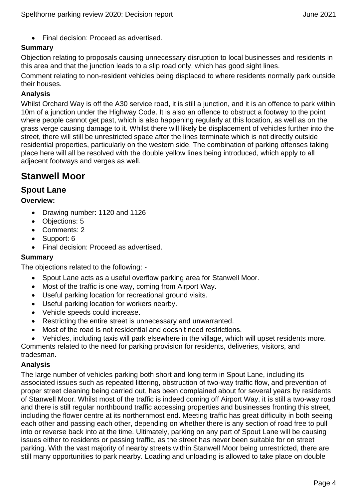• Final decision: Proceed as advertised.

#### **Summary**

Objection relating to proposals causing unnecessary disruption to local businesses and residents in this area and that the junction leads to a slip road only, which has good sight lines.

Comment relating to non-resident vehicles being displaced to where residents normally park outside their houses.

#### **Analysis**

Whilst Orchard Way is off the A30 service road, it is still a junction, and it is an offence to park within 10m of a junction under the Highway Code. It is also an offence to obstruct a footway to the point where people cannot get past, which is also happening regularly at this location, as well as on the grass verge causing damage to it. Whilst there will likely be displacement of vehicles further into the street, there will still be unrestricted space after the lines terminate which is not directly outside residential properties, particularly on the western side. The combination of parking offenses taking place here will all be resolved with the double yellow lines being introduced, which apply to all adjacent footways and verges as well.

# **Stanwell Moor**

#### **Spout Lane**

**Overview:**

- Drawing number: 1120 and 1126
- Objections: 5
- Comments: 2
- Support: 6
- Final decision: Proceed as advertised.

#### **Summary**

The objections related to the following: -

- Spout Lane acts as a useful overflow parking area for Stanwell Moor.
- Most of the traffic is one way, coming from Airport Way.
- Useful parking location for recreational ground visits.
- Useful parking location for workers nearby.
- Vehicle speeds could increase.
- Restricting the entire street is unnecessary and unwarranted.
- Most of the road is not residential and doesn't need restrictions.
- Vehicles, including taxis will park elsewhere in the village, which will upset residents more.

Comments related to the need for parking provision for residents, deliveries, visitors, and tradesman.

#### **Analysis**

The large number of vehicles parking both short and long term in Spout Lane, including its associated issues such as repeated littering, obstruction of two-way traffic flow, and prevention of proper street cleaning being carried out, has been complained about for several years by residents of Stanwell Moor. Whilst most of the traffic is indeed coming off Airport Way, it is still a two-way road and there is still regular northbound traffic accessing properties and businesses fronting this street, including the flower centre at its northernmost end. Meeting traffic has great difficulty in both seeing each other and passing each other, depending on whether there is any section of road free to pull into or reverse back into at the time. Ultimately, parking on any part of Spout Lane will be causing issues either to residents or passing traffic, as the street has never been suitable for on street parking. With the vast majority of nearby streets within Stanwell Moor being unrestricted, there are still many opportunities to park nearby. Loading and unloading is allowed to take place on double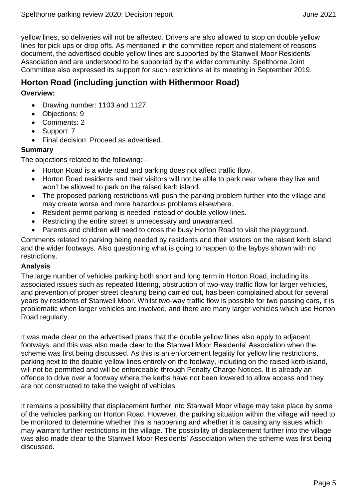yellow lines, so deliveries will not be affected. Drivers are also allowed to stop on double yellow lines for pick ups or drop offs. As mentioned in the committee report and statement of reasons document, the advertised double yellow lines are supported by the Stanwell Moor Residents' Association and are understood to be supported by the wider community. Spelthorne Joint Committee also expressed its support for such restrictions at its meeting in September 2019.

#### **Horton Road (including junction with Hithermoor Road)**

#### **Overview:**

- Drawing number: 1103 and 1127
- Objections: 9
- Comments: 2
- Support: 7
- Final decision: Proceed as advertised.

#### **Summary**

The objections related to the following: -

- Horton Road is a wide road and parking does not affect traffic flow.
- Horton Road residents and their visitors will not be able to park near where they live and won't be allowed to park on the raised kerb island.
- The proposed parking restrictions will push the parking problem further into the village and may create worse and more hazardous problems elsewhere.
- Resident permit parking is needed instead of double yellow lines.
- Restricting the entire street is unnecessary and unwarranted.
- Parents and children will need to cross the busy Horton Road to visit the playground.

Comments related to parking being needed by residents and their visitors on the raised kerb island and the wider footways. Also questioning what is going to happen to the laybys shown with no restrictions.

#### **Analysis**

The large number of vehicles parking both short and long term in Horton Road, including its associated issues such as repeated littering, obstruction of two-way traffic flow for larger vehicles, and prevention of proper street cleaning being carried out, has been complained about for several years by residents of Stanwell Moor. Whilst two-way traffic flow is possible for two passing cars, it is problematic when larger vehicles are involved, and there are many larger vehicles which use Horton Road regularly.

It was made clear on the advertised plans that the double yellow lines also apply to adjacent footways, and this was also made clear to the Stanwell Moor Residents' Association when the scheme was first being discussed. As this is an enforcement legality for yellow line restrictions, parking next to the double yellow lines entirely on the footway, including on the raised kerb island, will not be permitted and will be enforceable through Penalty Charge Notices. It is already an offence to drive over a footway where the kerbs have not been lowered to allow access and they are not constructed to take the weight of vehicles.

It remains a possibility that displacement further into Stanwell Moor village may take place by some of the vehicles parking on Horton Road. However, the parking situation within the village will need to be monitored to determine whether this is happening and whether it is causing any issues which may warrant further restrictions in the village. The possibility of displacement further into the village was also made clear to the Stanwell Moor Residents' Association when the scheme was first being discussed.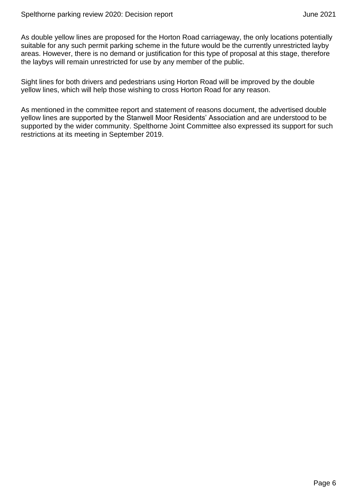As double yellow lines are proposed for the Horton Road carriageway, the only locations potentially suitable for any such permit parking scheme in the future would be the currently unrestricted layby areas. However, there is no demand or justification for this type of proposal at this stage, therefore the laybys will remain unrestricted for use by any member of the public.

Sight lines for both drivers and pedestrians using Horton Road will be improved by the double yellow lines, which will help those wishing to cross Horton Road for any reason.

As mentioned in the committee report and statement of reasons document, the advertised double yellow lines are supported by the Stanwell Moor Residents' Association and are understood to be supported by the wider community. Spelthorne Joint Committee also expressed its support for such restrictions at its meeting in September 2019.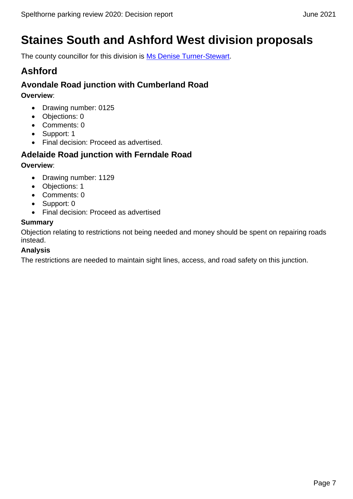# <span id="page-6-0"></span>**Staines South and Ashford West division proposals**

The county councillor for this division is [Ms Denise Turner-Stewart.](https://mycouncil.surreycc.gov.uk/mgUserInfo.aspx?UID=1812)

# **Ashford**

# **Avondale Road junction with Cumberland Road**

**Overview**:

- Drawing number: 0125
- Objections: 0
- Comments: 0
- Support: 1
- Final decision: Proceed as advertised.

# **Adelaide Road junction with Ferndale Road**

#### **Overview**:

- Drawing number: 1129
- Objections: 1
- Comments: 0
- Support: 0
- Final decision: Proceed as advertised

#### **Summary**

Objection relating to restrictions not being needed and money should be spent on repairing roads instead.

#### **Analysis**

The restrictions are needed to maintain sight lines, access, and road safety on this junction.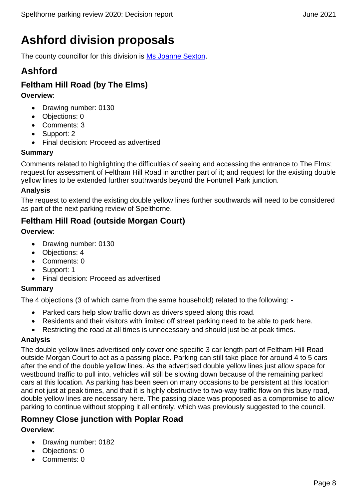# <span id="page-7-0"></span>**Ashford division proposals**

The county councillor for this division is [Ms Joanne Sexton.](https://mycouncil.surreycc.gov.uk/mgUserInfo.aspx?UID=347)

# **Ashford**

# **Feltham Hill Road (by The Elms)**

**Overview**:

- Drawing number: 0130
- Objections: 0
- Comments: 3
- Support: 2
- Final decision: Proceed as advertised

#### **Summary**

Comments related to highlighting the difficulties of seeing and accessing the entrance to The Elms; request for assessment of Feltham Hill Road in another part of it; and request for the existing double yellow lines to be extended further southwards beyond the Fontmell Park junction.

#### **Analysis**

The request to extend the existing double yellow lines further southwards will need to be considered as part of the next parking review of Spelthorne.

# **Feltham Hill Road (outside Morgan Court)**

#### **Overview**:

- Drawing number: 0130
- Objections: 4
- Comments: 0
- Support: 1
- Final decision: Proceed as advertised

#### **Summary**

The 4 objections (3 of which came from the same household) related to the following: -

- Parked cars help slow traffic down as drivers speed along this road.
- Residents and their visitors with limited off street parking need to be able to park here.
- Restricting the road at all times is unnecessary and should just be at peak times.

#### **Analysis**

The double yellow lines advertised only cover one specific 3 car length part of Feltham Hill Road outside Morgan Court to act as a passing place. Parking can still take place for around 4 to 5 cars after the end of the double yellow lines. As the advertised double yellow lines just allow space for westbound traffic to pull into, vehicles will still be slowing down because of the remaining parked cars at this location. As parking has been seen on many occasions to be persistent at this location and not just at peak times, and that it is highly obstructive to two-way traffic flow on this busy road, double yellow lines are necessary here. The passing place was proposed as a compromise to allow parking to continue without stopping it all entirely, which was previously suggested to the council.

# **Romney Close junction with Poplar Road**

#### **Overview**:

- Drawing number: 0182
- Objections: 0
- Comments: 0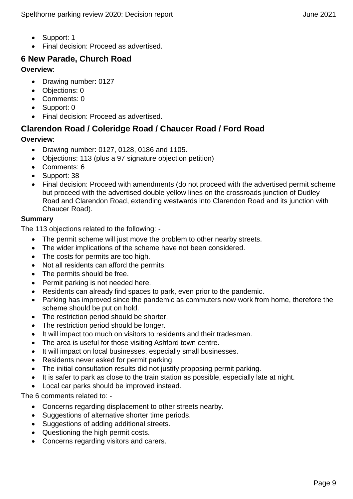- Support: 1
- Final decision: Proceed as advertised.

# **6 New Parade, Church Road**

#### **Overview**:

- Drawing number: 0127
- Objections: 0
- Comments: 0
- Support: 0
- Final decision: Proceed as advertised.

# **Clarendon Road / Coleridge Road / Chaucer Road / Ford Road**

#### **Overview**:

- Drawing number: 0127, 0128, 0186 and 1105.
- Objections: 113 (plus a 97 signature objection petition)
- Comments: 6
- Support: 38
- Final decision: Proceed with amendments (do not proceed with the advertised permit scheme but proceed with the advertised double yellow lines on the crossroads junction of Dudley Road and Clarendon Road, extending westwards into Clarendon Road and its junction with Chaucer Road).

#### **Summary**

The 113 objections related to the following: -

- The permit scheme will just move the problem to other nearby streets.
- The wider implications of the scheme have not been considered.
- The costs for permits are too high.
- Not all residents can afford the permits.
- The permits should be free.
- Permit parking is not needed here.
- Residents can already find spaces to park, even prior to the pandemic.
- Parking has improved since the pandemic as commuters now work from home, therefore the scheme should be put on hold.
- The restriction period should be shorter.
- The restriction period should be longer.
- It will impact too much on visitors to residents and their tradesman.
- The area is useful for those visiting Ashford town centre.
- It will impact on local businesses, especially small businesses.
- Residents never asked for permit parking.
- The initial consultation results did not justify proposing permit parking.
- It is safer to park as close to the train station as possible, especially late at night.
- Local car parks should be improved instead.

The 6 comments related to: -

- Concerns regarding displacement to other streets nearby.
- Suggestions of alternative shorter time periods.
- Suggestions of adding additional streets.
- Questioning the high permit costs.
- Concerns regarding visitors and carers.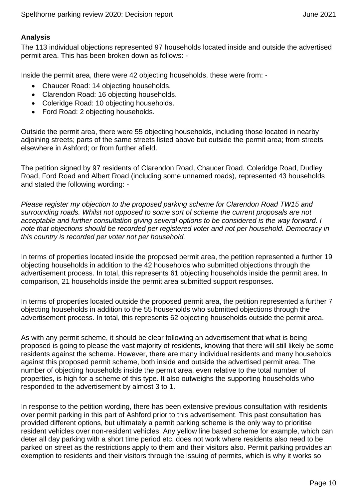#### **Analysis**

The 113 individual objections represented 97 households located inside and outside the advertised permit area. This has been broken down as follows: -

Inside the permit area, there were 42 objecting households, these were from: -

- Chaucer Road: 14 objecting households.
- Clarendon Road: 16 objecting households.
- Coleridge Road: 10 objecting households.
- Ford Road: 2 objecting households.

Outside the permit area, there were 55 objecting households, including those located in nearby adjoining streets; parts of the same streets listed above but outside the permit area; from streets elsewhere in Ashford; or from further afield.

The petition signed by 97 residents of Clarendon Road, Chaucer Road, Coleridge Road, Dudley Road, Ford Road and Albert Road (including some unnamed roads), represented 43 households and stated the following wording: -

*Please register my objection to the proposed parking scheme for Clarendon Road TW15 and surrounding roads. Whilst not opposed to some sort of scheme the current proposals are not acceptable and further consultation giving several options to be considered is the way forward. I note that objections should be recorded per registered voter and not per household. Democracy in this country is recorded per voter not per household.* 

In terms of properties located inside the proposed permit area, the petition represented a further 19 objecting households in addition to the 42 households who submitted objections through the advertisement process. In total, this represents 61 objecting households inside the permit area. In comparison, 21 households inside the permit area submitted support responses.

In terms of properties located outside the proposed permit area, the petition represented a further 7 objecting households in addition to the 55 households who submitted objections through the advertisement process. In total, this represents 62 objecting households outside the permit area.

As with any permit scheme, it should be clear following an advertisement that what is being proposed is going to please the vast majority of residents, knowing that there will still likely be some residents against the scheme. However, there are many individual residents and many households against this proposed permit scheme, both inside and outside the advertised permit area. The number of objecting households inside the permit area, even relative to the total number of properties, is high for a scheme of this type. It also outweighs the supporting households who responded to the advertisement by almost 3 to 1.

In response to the petition wording, there has been extensive previous consultation with residents over permit parking in this part of Ashford prior to this advertisement. This past consultation has provided different options, but ultimately a permit parking scheme is the only way to prioritise resident vehicles over non-resident vehicles. Any yellow line based scheme for example, which can deter all day parking with a short time period etc, does not work where residents also need to be parked on street as the restrictions apply to them and their visitors also. Permit parking provides an exemption to residents and their visitors through the issuing of permits, which is why it works so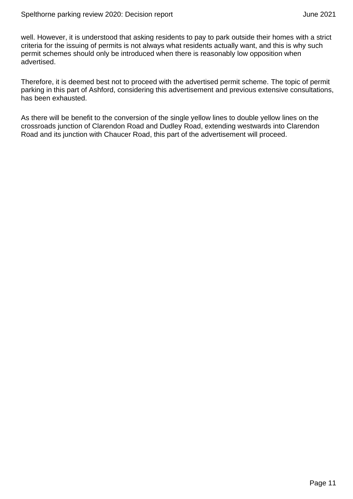well. However, it is understood that asking residents to pay to park outside their homes with a strict criteria for the issuing of permits is not always what residents actually want, and this is why such permit schemes should only be introduced when there is reasonably low opposition when advertised.

Therefore, it is deemed best not to proceed with the advertised permit scheme. The topic of permit parking in this part of Ashford, considering this advertisement and previous extensive consultations, has been exhausted.

As there will be benefit to the conversion of the single yellow lines to double yellow lines on the crossroads junction of Clarendon Road and Dudley Road, extending westwards into Clarendon Road and its junction with Chaucer Road, this part of the advertisement will proceed.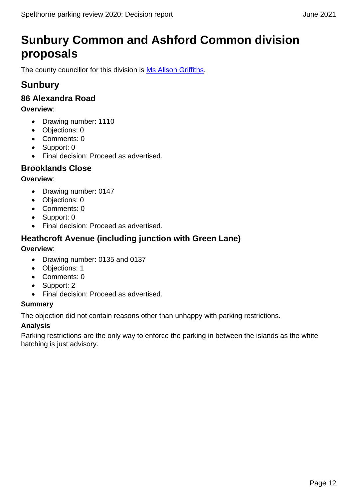# <span id="page-11-0"></span>**Sunbury Common and Ashford Common division proposals**

The county councillor for this division is [Ms Alison Griffiths.](https://mycouncil.surreycc.gov.uk/mgUserInfo.aspx?UID=2357)

# **Sunbury**

# **86 Alexandra Road**

#### **Overview**:

- Drawing number: 1110
- Objections: 0
- Comments: 0
- Support: 0
- Final decision: Proceed as advertised.

### **Brooklands Close**

#### **Overview**:

- Drawing number: 0147
- Objections: 0
- Comments: 0
- Support: 0
- Final decision: Proceed as advertised.

### **Heathcroft Avenue (including junction with Green Lane)**

#### **Overview**:

- Drawing number: 0135 and 0137
- Objections: 1
- Comments: 0
- Support: 2
- Final decision: Proceed as advertised.

#### **Summary**

The objection did not contain reasons other than unhappy with parking restrictions.

#### **Analysis**

Parking restrictions are the only way to enforce the parking in between the islands as the white hatching is just advisory.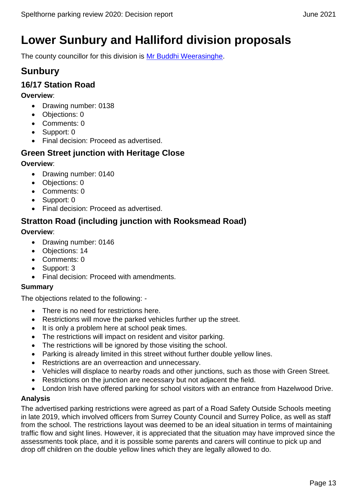# <span id="page-12-0"></span>**Lower Sunbury and Halliford division proposals**

The county councillor for this division is [Mr Buddhi Weerasinghe.](https://mycouncil.surreycc.gov.uk/mgUserInfo.aspx?UID=3354)

# **Sunbury**

# **16/17 Station Road**

#### **Overview**:

- Drawing number: 0138
- Objections: 0
- Comments: 0
- Support: 0
- Final decision: Proceed as advertised.

# **Green Street junction with Heritage Close**

#### **Overview**:

- Drawing number: 0140
- Objections: 0
- Comments: 0
- Support: 0
- Final decision: Proceed as advertised.

# **Stratton Road (including junction with Rooksmead Road)**

#### **Overview**:

- Drawing number: 0146
- Objections: 14
- Comments: 0
- Support: 3
- Final decision: Proceed with amendments.

#### **Summary**

The objections related to the following: -

- There is no need for restrictions here.
- Restrictions will move the parked vehicles further up the street.
- It is only a problem here at school peak times.
- The restrictions will impact on resident and visitor parking.
- The restrictions will be ignored by those visiting the school.
- Parking is already limited in this street without further double yellow lines.
- Restrictions are an overreaction and unnecessary.
- Vehicles will displace to nearby roads and other junctions, such as those with Green Street.
- Restrictions on the junction are necessary but not adjacent the field.
- London Irish have offered parking for school visitors with an entrance from Hazelwood Drive.

#### **Analysis**

The advertised parking restrictions were agreed as part of a Road Safety Outside Schools meeting in late 2019, which involved officers from Surrey County Council and Surrey Police, as well as staff from the school. The restrictions layout was deemed to be an ideal situation in terms of maintaining traffic flow and sight lines. However, it is appreciated that the situation may have improved since the assessments took place, and it is possible some parents and carers will continue to pick up and drop off children on the double yellow lines which they are legally allowed to do.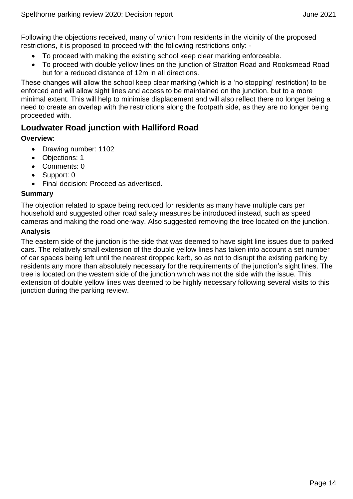Following the objections received, many of which from residents in the vicinity of the proposed restrictions, it is proposed to proceed with the following restrictions only: -

- To proceed with making the existing school keep clear marking enforceable.
- To proceed with double yellow lines on the junction of Stratton Road and Rooksmead Road but for a reduced distance of 12m in all directions.

These changes will allow the school keep clear marking (which is a 'no stopping' restriction) to be enforced and will allow sight lines and access to be maintained on the junction, but to a more minimal extent. This will help to minimise displacement and will also reflect there no longer being a need to create an overlap with the restrictions along the footpath side, as they are no longer being proceeded with.

### **Loudwater Road junction with Halliford Road**

#### **Overview**:

- Drawing number: 1102
- Objections: 1
- Comments: 0
- Support: 0
- Final decision: Proceed as advertised.

#### **Summary**

The objection related to space being reduced for residents as many have multiple cars per household and suggested other road safety measures be introduced instead, such as speed cameras and making the road one-way. Also suggested removing the tree located on the junction.

#### **Analysis**

The eastern side of the junction is the side that was deemed to have sight line issues due to parked cars. The relatively small extension of the double yellow lines has taken into account a set number of car spaces being left until the nearest dropped kerb, so as not to disrupt the existing parking by residents any more than absolutely necessary for the requirements of the junction's sight lines. The tree is located on the western side of the junction which was not the side with the issue. This extension of double yellow lines was deemed to be highly necessary following several visits to this junction during the parking review.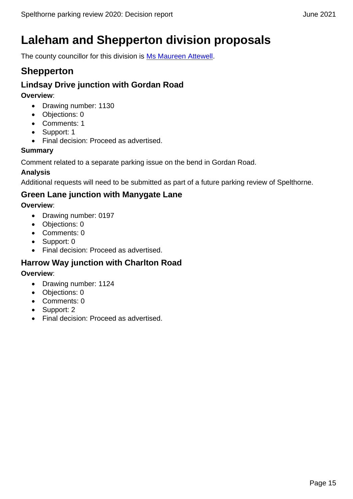# <span id="page-14-0"></span>**Laleham and Shepperton division proposals**

The county councillor for this division is [Ms Maureen Attewell.](https://mycouncil.surreycc.gov.uk/mgUserInfo.aspx?UID=1814)

# **Shepperton**

### **Lindsay Drive junction with Gordan Road**

**Overview**:

- Drawing number: 1130
- Objections: 0
- Comments: 1
- Support: 1
- Final decision: Proceed as advertised.

#### **Summary**

Comment related to a separate parking issue on the bend in Gordan Road.

#### **Analysis**

Additional requests will need to be submitted as part of a future parking review of Spelthorne.

# **Green Lane junction with Manygate Lane**

**Overview**:

- Drawing number: 0197
- Objections: 0
- Comments: 0
- Support: 0
- Final decision: Proceed as advertised.

### **Harrow Way junction with Charlton Road**

#### **Overview**:

- Drawing number: 1124
- Objections: 0
- Comments: 0
- Support: 2
- Final decision: Proceed as advertised.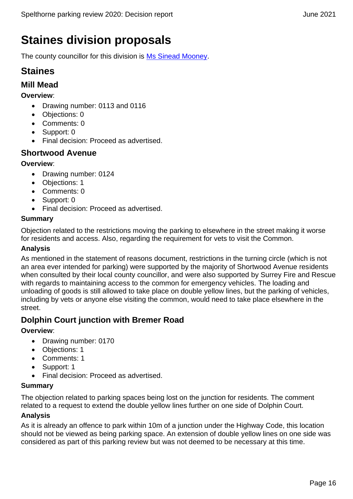# <span id="page-15-0"></span>**Staines division proposals**

The county councillor for this division is [Ms Sinead Mooney.](https://mycouncil.surreycc.gov.uk/mgUserInfo.aspx?UID=2324)

# **Staines**

#### **Mill Mead**

**Overview**:

- Drawing number: 0113 and 0116
- Objections: 0
- Comments: 0
- Support: 0
- Final decision: Proceed as advertised.

# **Shortwood Avenue**

#### **Overview**:

- Drawing number: 0124
- Objections: 1
- Comments: 0
- Support: 0
- Final decision: Proceed as advertised.

#### **Summary**

Objection related to the restrictions moving the parking to elsewhere in the street making it worse for residents and access. Also, regarding the requirement for vets to visit the Common.

#### **Analysis**

As mentioned in the statement of reasons document, restrictions in the turning circle (which is not an area ever intended for parking) were supported by the majority of Shortwood Avenue residents when consulted by their local county councillor, and were also supported by Surrey Fire and Rescue with regards to maintaining access to the common for emergency vehicles. The loading and unloading of goods is still allowed to take place on double yellow lines, but the parking of vehicles, including by vets or anyone else visiting the common, would need to take place elsewhere in the street.

### **Dolphin Court junction with Bremer Road**

**Overview**:

- Drawing number: 0170
- Objections: 1
- Comments: 1
- Support: 1
- Final decision: Proceed as advertised.

#### **Summary**

The objection related to parking spaces being lost on the junction for residents. The comment related to a request to extend the double yellow lines further on one side of Dolphin Court.

#### **Analysis**

As it is already an offence to park within 10m of a junction under the Highway Code, this location should not be viewed as being parking space. An extension of double yellow lines on one side was considered as part of this parking review but was not deemed to be necessary at this time.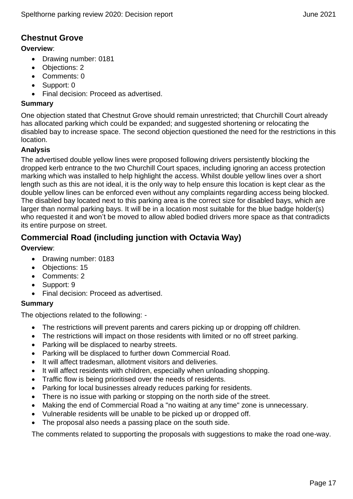# **Chestnut Grove**

#### **Overview**:

- Drawing number: 0181
- Objections: 2
- Comments: 0
- Support: 0
- Final decision: Proceed as advertised.

#### **Summary**

One objection stated that Chestnut Grove should remain unrestricted; that Churchill Court already has allocated parking which could be expanded; and suggested shortening or relocating the disabled bay to increase space. The second objection questioned the need for the restrictions in this location.

#### **Analysis**

The advertised double yellow lines were proposed following drivers persistently blocking the dropped kerb entrance to the two Churchill Court spaces, including ignoring an access protection marking which was installed to help highlight the access. Whilst double yellow lines over a short length such as this are not ideal, it is the only way to help ensure this location is kept clear as the double yellow lines can be enforced even without any complaints regarding access being blocked. The disabled bay located next to this parking area is the correct size for disabled bays, which are larger than normal parking bays. It will be in a location most suitable for the blue badge holder(s) who requested it and won't be moved to allow abled bodied drivers more space as that contradicts its entire purpose on street.

# **Commercial Road (including junction with Octavia Way)**

#### **Overview**:

- Drawing number: 0183
- Objections: 15
- Comments: 2
- Support: 9
- Final decision: Proceed as advertised.

#### **Summary**

The objections related to the following: -

- The restrictions will prevent parents and carers picking up or dropping off children.
- The restrictions will impact on those residents with limited or no off street parking.
- Parking will be displaced to nearby streets.
- Parking will be displaced to further down Commercial Road.
- It will affect tradesman, allotment visitors and deliveries.
- It will affect residents with children, especially when unloading shopping.
- Traffic flow is being prioritised over the needs of residents.
- Parking for local businesses already reduces parking for residents.
- There is no issue with parking or stopping on the north side of the street.
- Making the end of Commercial Road a "no waiting at any time" zone is unnecessary.
- Vulnerable residents will be unable to be picked up or dropped off.
- The proposal also needs a passing place on the south side.

The comments related to supporting the proposals with suggestions to make the road one-way.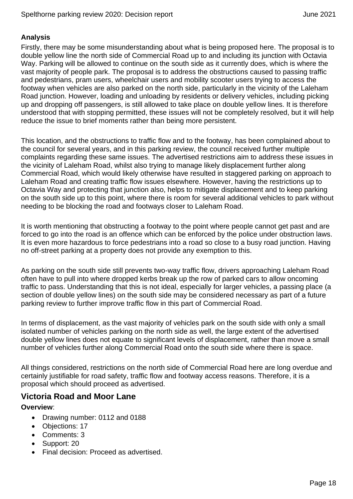#### **Analysis**

Firstly, there may be some misunderstanding about what is being proposed here. The proposal is to double yellow line the north side of Commercial Road up to and including its junction with Octavia Way. Parking will be allowed to continue on the south side as it currently does, which is where the vast majority of people park. The proposal is to address the obstructions caused to passing traffic and pedestrians, pram users, wheelchair users and mobility scooter users trying to access the footway when vehicles are also parked on the north side, particularly in the vicinity of the Laleham Road junction. However, loading and unloading by residents or delivery vehicles, including picking up and dropping off passengers, is still allowed to take place on double yellow lines. It is therefore understood that with stopping permitted, these issues will not be completely resolved, but it will help reduce the issue to brief moments rather than being more persistent.

This location, and the obstructions to traffic flow and to the footway, has been complained about to the council for several years, and in this parking review, the council received further multiple complaints regarding these same issues. The advertised restrictions aim to address these issues in the vicinity of Laleham Road, whilst also trying to manage likely displacement further along Commercial Road, which would likely otherwise have resulted in staggered parking on approach to Laleham Road and creating traffic flow issues elsewhere. However, having the restrictions up to Octavia Way and protecting that junction also, helps to mitigate displacement and to keep parking on the south side up to this point, where there is room for several additional vehicles to park without needing to be blocking the road and footways closer to Laleham Road.

It is worth mentioning that obstructing a footway to the point where people cannot get past and are forced to go into the road is an offence which can be enforced by the police under obstruction laws. It is even more hazardous to force pedestrians into a road so close to a busy road junction. Having no off-street parking at a property does not provide any exemption to this.

As parking on the south side still prevents two-way traffic flow, drivers approaching Laleham Road often have to pull into where dropped kerbs break up the row of parked cars to allow oncoming traffic to pass. Understanding that this is not ideal, especially for larger vehicles, a passing place (a section of double yellow lines) on the south side may be considered necessary as part of a future parking review to further improve traffic flow in this part of Commercial Road.

In terms of displacement, as the vast majority of vehicles park on the south side with only a small isolated number of vehicles parking on the north side as well, the large extent of the advertised double yellow lines does not equate to significant levels of displacement, rather than move a small number of vehicles further along Commercial Road onto the south side where there is space.

All things considered, restrictions on the north side of Commercial Road here are long overdue and certainly justifiable for road safety, traffic flow and footway access reasons. Therefore, it is a proposal which should proceed as advertised.

#### **Victoria Road and Moor Lane**

#### **Overview**:

- Drawing number: 0112 and 0188
- Objections: 17
- Comments: 3
- Support: 20
- Final decision: Proceed as advertised.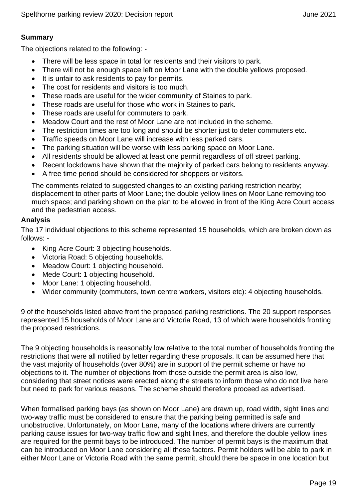# **Summary**

The objections related to the following: -

- There will be less space in total for residents and their visitors to park.
- There will not be enough space left on Moor Lane with the double yellows proposed.
- It is unfair to ask residents to pay for permits.
- The cost for residents and visitors is too much.
- These roads are useful for the wider community of Staines to park.
- These roads are useful for those who work in Staines to park.
- These roads are useful for commuters to park.
- Meadow Court and the rest of Moor Lane are not included in the scheme.
- The restriction times are too long and should be shorter just to deter commuters etc.
- Traffic speeds on Moor Lane will increase with less parked cars.
- The parking situation will be worse with less parking space on Moor Lane.
- All residents should be allowed at least one permit regardless of off street parking.
- Recent lockdowns have shown that the majority of parked cars belong to residents anyway.
- A free time period should be considered for shoppers or visitors.

The comments related to suggested changes to an existing parking restriction nearby; displacement to other parts of Moor Lane; the double yellow lines on Moor Lane removing too much space; and parking shown on the plan to be allowed in front of the King Acre Court access and the pedestrian access.

#### **Analysis**

The 17 individual objections to this scheme represented 15 households, which are broken down as follows: -

- King Acre Court: 3 objecting households.
- Victoria Road: 5 objecting households.
- Meadow Court: 1 objecting household.
- Mede Court: 1 objecting household.
- Moor Lane: 1 objecting household.
- Wider community (commuters, town centre workers, visitors etc): 4 objecting households.

9 of the households listed above front the proposed parking restrictions. The 20 support responses represented 15 households of Moor Lane and Victoria Road, 13 of which were households fronting the proposed restrictions.

The 9 objecting households is reasonably low relative to the total number of households fronting the restrictions that were all notified by letter regarding these proposals. It can be assumed here that the vast majority of households (over 80%) are in support of the permit scheme or have no objections to it. The number of objections from those outside the permit area is also low, considering that street notices were erected along the streets to inform those who do not live here but need to park for various reasons. The scheme should therefore proceed as advertised.

When formalised parking bays (as shown on Moor Lane) are drawn up, road width, sight lines and two-way traffic must be considered to ensure that the parking being permitted is safe and unobstructive. Unfortunately, on Moor Lane, many of the locations where drivers are currently parking cause issues for two-way traffic flow and sight lines, and therefore the double yellow lines are required for the permit bays to be introduced. The number of permit bays is the maximum that can be introduced on Moor Lane considering all these factors. Permit holders will be able to park in either Moor Lane or Victoria Road with the same permit, should there be space in one location but